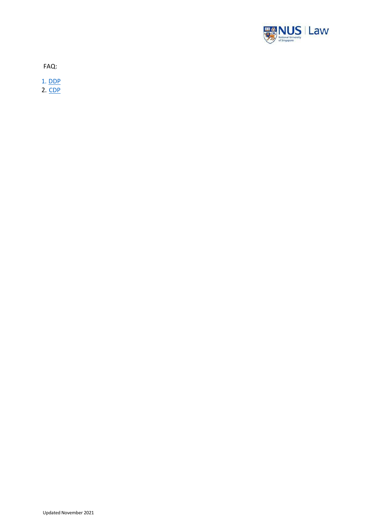

FAQ:

1. [DDP](#page-1-0)

2. [CDP](#page-4-0)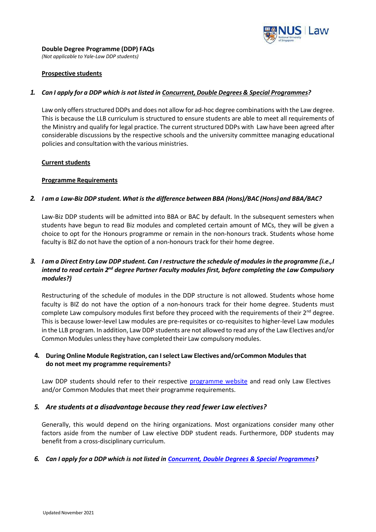

<span id="page-1-0"></span>*(Not applicable to Yale-Law DDP students)*

# **Prospective students**

# *1. Can I apply for a DDP which is not listed in Concurrent, Double Degrees & Special [Programmes?](http://law.nus.edu.sg/student_matters/cdp_ddp_sp.html)*

Law only offers structured DDPs and does not allow for ad-hoc degree combinations with the Law degree. This is because the LLB curriculum is structured to ensure students are able to meet all requirements of the Ministry and qualify for legal practice. The current structured DDPs with Law have been agreed after considerable discussions by the respective schools and the university committee managing educational policies and consultation with the various ministries.

# **Current students**

# **Programme Requirements**

# *2. I am a Law-Biz DDP student. What is the difference between BBA (Hons)/BAC (Hons)and BBA/BAC?*

Law-Biz DDP students will be admitted into BBA or BAC by default. In the subsequent semesters when students have begun to read Biz modules and completed certain amount of MCs, they will be given a choice to opt for the Honours programme or remain in the non-honours track. Students whose home faculty is BIZ do not have the option of a non-honours track for their home degree.

# 3. I am a Direct Entry Law DDP student. Can I restructure the schedule of modules in the programme (i.e., I *intend to read certain 2nd degree Partner Faculty modules first, before completing the Law Compulsory modules?)*

Restructuring of the schedule of modules in the DDP structure is not allowed. Students whose home faculty is BIZ do not have the option of a non-honours track for their home degree. Students must complete Law compulsory modules first before they proceed with the requirements of their  $2^{nd}$  degree. This is because lower-level Law modules are pre-requisites or co-requisites to higher-level Law modules in the LLB program. In addition, Law DDP students are not allowed to read any of the Law Electives and/or Common Modules unless they have completed their Law compulsory modules.

# **4. During Online Module Registration, can Iselect Law Electives and/orCommon Modulesthat do not meet my programme requirements?**

Law DDP students should refer to their respective [programme website](http://law.nus.edu.sg/student_matters/cdp_ddp_sp.html) and read only Law Electives and/or Common Modules that meet their programme requirements.

# *5. Are students at a disadvantage because they read fewer Law electives?*

Generally, this would depend on the hiring organizations. Most organizations consider many other factors aside from the number of Law elective DDP student reads. Furthermore, DDP students may benefit from a cross-disciplinary curriculum.

# *6. Can I apply for a DDP which is not listed in Concurrent, [Double Degrees](http://law.nus.edu.sg/student_matters/cdp_ddp_sp.html) & Special Programmes?*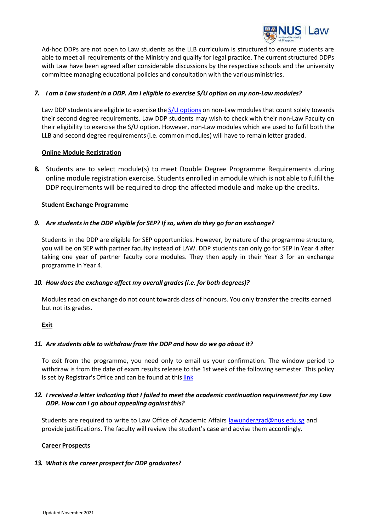

Ad-hoc DDPs are not open to Law students as the LLB curriculum is structured to ensure students are able to meet all requirements of the Ministry and qualify for legal practice. The current structured DDPs with Law have been agreed after considerable discussions by the respective schools and the university committee managing educational policies and consultation with the various ministries.

# *7. I am a Law studentin a DDP. Am I eligible to exercise S/U option on my non-Law modules?*

Law DDP students are eligible to exercise the  $S/U$  [options](https://myportal.nus.edu.sg/studentportal/academics/ug/su-homepage.html) on non-Law modules that count solely towards their second degree requirements. Law DDP students may wish to check with their non-Law Faculty on their eligibility to exercise the S/U option. However, non-Law modules which are used to fulfil both the LLB and second degree requirements(i.e. commonmodules) will have to remain letter graded.

# **Online Module Registration**

**8.** Students are to select module(s) to meet Double Degree Programme Requirements during online module registration exercise. Students enrolled in amodule which is not able to fulfilthe DDP requirements will be required to drop the affected module and make up the credits.

# **Student Exchange Programme**

# *9. Are studentsin the DDP eligible for SEP? If so, when do they go for an exchange?*

Students in the DDP are eligible for SEP opportunities. However, by nature of the programme structure, you will be on SEP with partner faculty instead of LAW. DDP students can only go for SEP in Year 4 after taking one year of partner faculty core modules. They then apply in their Year 3 for an exchange programme in Year 4.

# *10. How doesthe exchange affect my overall grades(i.e. for both degrees)?*

Modules read on exchange do not count towards class of honours. You only transfer the credits earned but not its grades.

# **Exit**

# *11. Are students able to withdraw from the DDP and how do we go about it?*

To exit from the programme, you need only to email us your confirmation. The window period to withdraw is from the date of exam results release to the 1st week of the following semester. This policy is set by Registrar's Office and can be found at this [link](http://www.nus.edu.sg/registrar/academic-information-policies/undergraduate-students/special-programmes/double-degree-programmes/double-degree-programme-framework-and-guidelines#continuationC)

# *12. I received a letter indicating that I failed to meet the academic continuation requirementfor my Law DDP. How can I go about appealing against this?*

Students are required to write to Law Office of Academic Affairs [lawundergrad@nus.edu.sg](mailto:lawundergrad@nus.edu.sg) and provide justifications. The faculty will review the student's case and advise them accordingly.

# **Career Prospects**

# *13. Whatis the career prospect for DDP graduates?*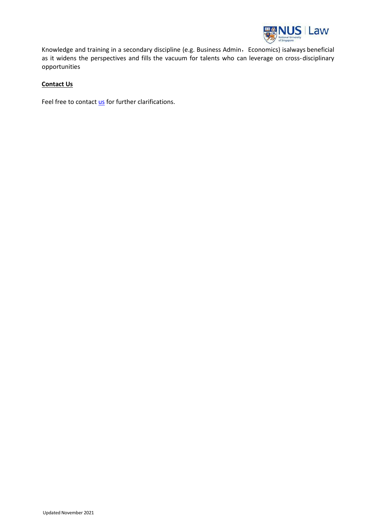

Knowledge and training in a secondary discipline (e.g. Business Admin, Economics) isalways beneficial as it widens the perspectives and fills the vacuum for talents who can leverage on cross-disciplinary opportunities

# **Contact Us**

Feel free to contact [us](https://law.nus.edu.sg/contact-us/) for further clarifications.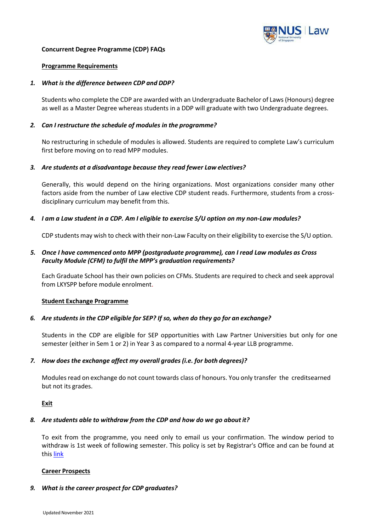

#### <span id="page-4-0"></span>**Concurrent Degree Programme (CDP) FAQs**

#### **Programme Requirements**

#### *1. What is the difference between CDP and DDP?*

Students who complete the CDP are awarded with an Undergraduate Bachelor of Laws(Honours) degree as well as a Master Degree whereas students in a DDP will graduate with two Undergraduate degrees.

#### *2. Can I restructure the schedule of modules in the programme?*

No restructuring in schedule of modules is allowed. Students are required to complete Law's curriculum first before moving on to read MPP modules.

#### *3. Are students at a disadvantage because they read fewer Law electives?*

Generally, this would depend on the hiring organizations. Most organizations consider many other factors aside from the number of Law elective CDP student reads. Furthermore, students from a crossdisciplinary curriculum may benefit from this.

# *4. I am a Law student in a CDP. Am I eligible to exercise S/U option on my non-Law modules?*

CDP students may wish to check with their non-Law Faculty on their eligibility to exercise the S/U option.

# *5. Once I have commenced onto MPP (postgraduate programme), can I read Law modules as Cross Faculty Module (CFM) to fulfil the MPP's graduation requirements?*

Each Graduate School has their own policies on CFMs. Students are required to check and seek approval from LKYSPP before module enrolment.

# **Student Exchange Programme**

# *6. Are students in the CDP eligible for SEP? If so, when do they go for an exchange?*

Students in the CDP are eligible for SEP opportunities with Law Partner Universities but only for one semester (either in Sem 1 or 2) in Year 3 as compared to a normal 4-year LLB programme.

# *7. How does the exchange affect my overall grades (i.e. for both degrees)?*

Modules read on exchange do not count towards class of honours. You only transfer the creditsearned but not its grades.

**Exit**

# *8. Are students able to withdraw from the CDP and how do we go about it?*

To exit from the programme, you need only to email us your confirmation. The window period to withdraw is 1st week of following semester. This policy is set by Registrar's Office and can be found at this [link](http://www.nus.edu.sg/registrar/academic-information-policies/undergraduate-students/special-programmes/double-degree-programmes/double-degree-programme-framework-and-guidelines#continuationC)

#### **Career Prospects**

# *9. What is the career prospect for CDP graduates?*